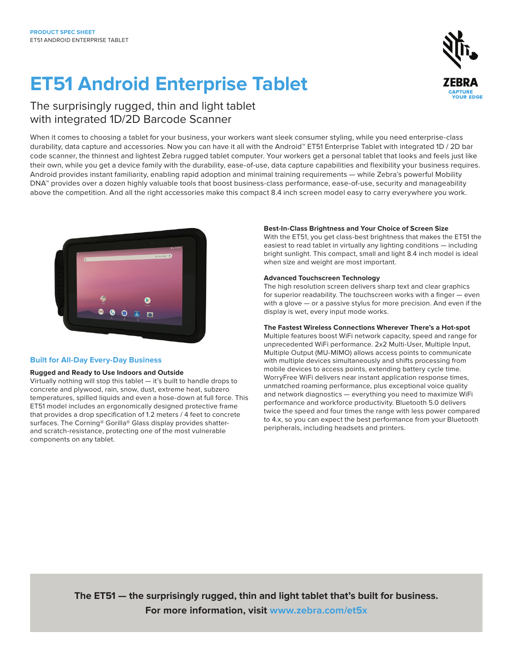# **ET51 Android Enterprise Tablet**

**UD EDGE** 

### The surprisingly rugged, thin and light tablet with integrated 1D/2D Barcode Scanner

When it comes to choosing a tablet for your business, your workers want sleek consumer styling, while you need enterprise-class durability, data capture and accessories. Now you can have it all with the Android™ ET51 Enterprise Tablet with integrated 1D / 2D bar code scanner, the thinnest and lightest Zebra rugged tablet computer. Your workers get a personal tablet that looks and feels just like their own, while you get a device family with the durability, ease-of-use, data capture capabilities and flexibility your business requires. Android provides instant familiarity, enabling rapid adoption and minimal training requirements — while Zebra's powerful Mobility DNA™ provides over a dozen highly valuable tools that boost business-class performance, ease-of-use, security and manageability above the competition. And all the right accessories make this compact 8.4 inch screen model easy to carry everywhere you work.



### **Built for All-Day Every-Day Business**

#### **Rugged and Ready to Use Indoors and Outside**

Virtually nothing will stop this tablet — it's built to handle drops to concrete and plywood, rain, snow, dust, extreme heat, subzero temperatures, spilled liquids and even a hose-down at full force. This ET51 model includes an ergonomically designed protective frame that provides a drop specification of 1.2 meters / 4 feet to concrete surfaces. The Corning® Gorilla® Glass display provides shatterand scratch-resistance, protecting one of the most vulnerable components on any tablet.

#### **Best-In-Class Brightness and Your Choice of Screen Size**

With the ET51, you get class-best brightness that makes the ET51 the easiest to read tablet in virtually any lighting conditions — including bright sunlight. This compact, small and light 8.4 inch model is ideal when size and weight are most important.

#### **Advanced Touchscreen Technology**

The high resolution screen delivers sharp text and clear graphics for superior readability. The touchscreen works with a finger — even with a glove — or a passive stylus for more precision. And even if the display is wet, every input mode works.

#### **The Fastest Wireless Connections Wherever There's a Hot-spot**

Multiple features boost WiFi network capacity, speed and range for unprecedented WiFi performance. 2x2 Multi-User, Multiple Input, Multiple Output (MU-MIMO) allows access points to communicate with multiple devices simultaneously and shifts processing from mobile devices to access points, extending battery cycle time. WorryFree WiFi delivers near instant application response times, unmatched roaming performance, plus exceptional voice quality and network diagnostics — everything you need to maximize WiFi performance and workforce productivity. Bluetooth 5.0 delivers twice the speed and four times the range with less power compared to 4.x, so you can expect the best performance from your Bluetooth peripherals, including headsets and printers.

**The ET51 — the surprisingly rugged, thin and light tablet that's built for business. For more information, visit [www.zebra.com/et5x](http://www.zebra.com/et5x)**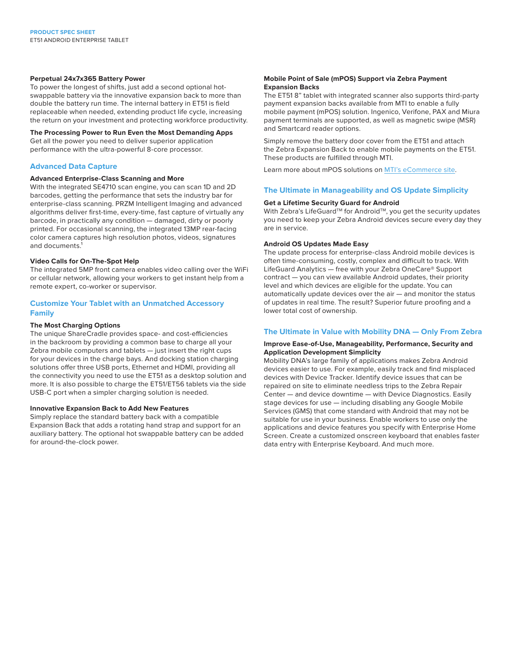#### **Perpetual 24x7x365 Battery Power**

To power the longest of shifts, just add a second optional hotswappable battery via the innovative expansion back to more than double the battery run time. The internal battery in ET51 is field replaceable when needed, extending product life cycle, increasing the return on your investment and protecting workforce productivity.

#### **The Processing Power to Run Even the Most Demanding Apps**

Get all the power you need to deliver superior application performance with the ultra-powerful 8-core processor.

#### **Advanced Data Capture**

#### **Advanced Enterprise-Class Scanning and More**

With the integrated SE4710 scan engine, you can scan 1D and 2D barcodes, getting the performance that sets the industry bar for enterprise-class scanning. PRZM Intelligent Imaging and advanced algorithms deliver first-time, every-time, fast capture of virtually any barcode, in practically any condition — damaged, dirty or poorly printed. For occasional scanning, the integrated 13MP rear-facing color camera captures high resolution photos, videos, signatures and documents.<sup>1</sup>

### **Video Calls for On-The-Spot Help**

The integrated 5MP front camera enables video calling over the WiFi or cellular network, allowing your workers to get instant help from a remote expert, co-worker or supervisor.

#### **Customize Your Tablet with an Unmatched Accessory Family**

#### **The Most Charging Options**

The unique ShareCradle provides space- and cost-efficiencies in the backroom by providing a common base to charge all your Zebra mobile computers and tablets — just insert the right cups for your devices in the charge bays. And docking station charging solutions offer three USB ports, Ethernet and HDMI, providing all the connectivity you need to use the ET51 as a desktop solution and more. It is also possible to charge the ET51/ET56 tablets via the side USB-C port when a simpler charging solution is needed.

#### **Innovative Expansion Back to Add New Features**

Simply replace the standard battery back with a compatible Expansion Back that adds a rotating hand strap and support for an auxiliary battery. The optional hot swappable battery can be added for around-the-clock power.

#### **Mobile Point of Sale (mPOS) Support via Zebra Payment Expansion Backs**

The ET51 8" tablet with integrated scanner also supports third-party payment expansion backs available from MTI to enable a fully mobile payment (mPOS) solution. Ingenico, Verifone, PAX and Miura payment terminals are supported, as well as magnetic swipe (MSR) and Smartcard reader options.

Simply remove the battery door cover from the ET51 and attach the Zebra Expansion Back to enable mobile payments on the ET51. These products are fulfilled through MTI.

Learn more about mPOS solutions on [MTI's eCommerce site](https://www.armoractive.com/products/zebra-tablet-case.aspx).

#### **The Ultimate in Manageability and OS Update Simplicity**

#### **Get a Lifetime Security Guard for Android**

With Zebra's LifeGuard™ for Android™, you get the security updates you need to keep your Zebra Android devices secure every day they are in service.

#### **Android OS Updates Made Easy**

The update process for enterprise-class Android mobile devices is often time-consuming, costly, complex and difficult to track. With LifeGuard Analytics — free with your Zebra OneCare® Support contract — you can view available Android updates, their priority level and which devices are eligible for the update. You can automatically update devices over the air — and monitor the status of updates in real time. The result? Superior future proofing and a lower total cost of ownership.

#### **The Ultimate in Value with Mobility DNA — Only From Zebra**

#### **Improve Ease-of-Use, Manageability, Performance, Security and Application Development Simplicity**

Mobility DNA's large family of applications makes Zebra Android devices easier to use. For example, easily track and find misplaced devices with Device Tracker. Identify device issues that can be repaired on site to eliminate needless trips to the Zebra Repair Center — and device downtime — with Device Diagnostics. Easily stage devices for use — including disabling any Google Mobile Services (GMS) that come standard with Android that may not be suitable for use in your business. Enable workers to use only the applications and device features you specify with Enterprise Home Screen. Create a customized onscreen keyboard that enables faster data entry with Enterprise Keyboard. And much more.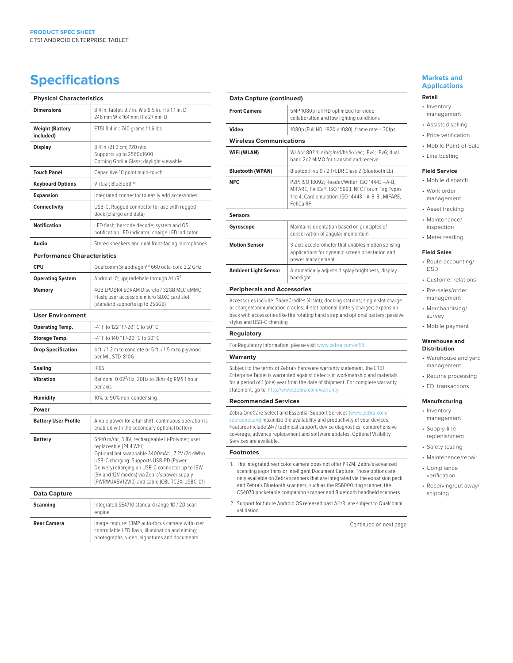### **Specifications**

| <b>Physical Characteristics</b>     |                                                                                                                                                                                                                                                                                                                       |
|-------------------------------------|-----------------------------------------------------------------------------------------------------------------------------------------------------------------------------------------------------------------------------------------------------------------------------------------------------------------------|
| <b>Dimensions</b>                   | 8.4 in. tablet: 9.7 in. W x 6.5 in. H x 1.1 in. D<br>246 mm W x 164 mm H x 27 mm D                                                                                                                                                                                                                                    |
| <b>Weight (Battery</b><br>included) | ET51 8.4 in.: 740 grams / 1.6 lbs                                                                                                                                                                                                                                                                                     |
| <b>Display</b>                      | 8.4 in./21.3 cm: 720 nits<br>Supports up to 2560x1600<br>Corning Gorilla Glass; daylight viewable                                                                                                                                                                                                                     |
| <b>Touch Panel</b>                  | Capacitive 10 point multi-touch                                                                                                                                                                                                                                                                                       |
| <b>Keyboard Options</b>             | Virtual; Bluetooth®                                                                                                                                                                                                                                                                                                   |
| <b>Expansion</b>                    | Integrated connector to easily add accessories                                                                                                                                                                                                                                                                        |
| Connectivity                        | USB-C, Rugged connector for use with rugged<br>dock (charge and data)                                                                                                                                                                                                                                                 |
| <b>Notification</b>                 | LED flash; barcode decode; system and OS<br>notification LED indicator; charge LED indicator                                                                                                                                                                                                                          |
| Audio                               | Stereo speakers and dual front-facing microphones                                                                                                                                                                                                                                                                     |
| <b>Performance Characteristics</b>  |                                                                                                                                                                                                                                                                                                                       |
| <b>CPU</b>                          | Qualcomm Snapdragon™ 660 octa-core 2.2 GHz                                                                                                                                                                                                                                                                            |
| <b>Operating System</b>             | Android 10; upgradebale through A11/R <sup>2</sup>                                                                                                                                                                                                                                                                    |
| <b>Memory</b>                       | 4GB LPDDR4 SDRAM Discrete / 32GB MLC eMMC<br>Flash; user accessible micro SDXC card slot<br>(standard supports up to 256GB)                                                                                                                                                                                           |
| <b>User Environment</b>             |                                                                                                                                                                                                                                                                                                                       |
| <b>Operating Temp.</b>              | -4° F to 122° F/-20° C to 50° C                                                                                                                                                                                                                                                                                       |
| <b>Storage Temp.</b>                | -4° F to 140 ° F/-20° C to 60° C                                                                                                                                                                                                                                                                                      |
| <b>Drop Specification</b>           | 4 ft. / 1.2 m to concrete or 5 ft. / 1.5 m to plywood<br>per MIL-STD-810G                                                                                                                                                                                                                                             |
| <b>Sealing</b>                      | <b>IP65</b>                                                                                                                                                                                                                                                                                                           |
| <b>Vibration</b>                    | Random: 0.02 <sup>2</sup> /Hz, 20Hz to 2khz 4g RMS 1 hour<br>per axis                                                                                                                                                                                                                                                 |
| <b>Humidity</b>                     | 10% to 90% non-condensing                                                                                                                                                                                                                                                                                             |
| Power                               |                                                                                                                                                                                                                                                                                                                       |
| <b>Battery User Profile</b>         | Ample power for a full shift; continuous operation is<br>enabled with the secondary optional battery                                                                                                                                                                                                                  |
| <b>Battery</b>                      | 6440 mAhr, 3.8V, rechargeable Li-Polymer; user<br>replaceable (24.4 Whr)<br>Optional hot swappable 3400mAh, 7.2V (24.4Whr)<br>USB-C charging: Supports USB-PD (Power<br>Delivery) charging on USB-C connector up to 18W<br>(9V and 12V modes) via Zebra's power supply<br>(PWRWUA5V12W0) and cable (CBL-TC2X-USBC-01) |
| Data Capture                        |                                                                                                                                                                                                                                                                                                                       |
| <b>Scanning</b>                     | Integrated SE4710 standard range 1D / 2D scan<br>engine                                                                                                                                                                                                                                                               |
| <b>Rear Camera</b>                  | Image capture: 13MP auto-focus camera with user<br>controllable LED flash, illumination and aiming;<br>photographs, video, signatures and documents                                                                                                                                                                   |

| Data Capture (continued)           |                                                                                                                                                                                                                                                     |
|------------------------------------|-----------------------------------------------------------------------------------------------------------------------------------------------------------------------------------------------------------------------------------------------------|
| <b>Front Camera</b>                | 5MP 1080p full HD optimized for video<br>collaboration and low lighting conditions                                                                                                                                                                  |
| Video                              | 1080p (Full HD, 1920 x 1080), frame rate = 30fps                                                                                                                                                                                                    |
| <b>Wireless Communications</b>     |                                                                                                                                                                                                                                                     |
| WiFi (WLAN)                        | WLAN: 802.11 a/b/g/n/d/h/i/k/r/ac; IPv4; IPv6; dual<br>band 2x2 MIMO for transmit and receive                                                                                                                                                       |
| <b>Bluetooth (WPAN)</b>            | Bluetooth v5.0 / 2.1+EDR Class 2 (Bluetooth LE)                                                                                                                                                                                                     |
| <b>NFC</b>                         | P2P: ISO 18092; Reader/Writer: ISO 14443 -A-B,<br>MIFARE, FeliCa®, ISO 15693, NFC Forum Tag Types<br>1 to 4; Card emulation: ISO 14443 -A-B-B', MIFARE,<br>FeliCa RF                                                                                |
| Sensors                            |                                                                                                                                                                                                                                                     |
| Gyroscope                          | Maintains orientation based on principles of<br>conservation of angular momentum                                                                                                                                                                    |
| <b>Motion Sensor</b>               | 3-axis accelerometer that enables motion sensing<br>applications for dynamic screen orientation and<br>power management                                                                                                                             |
| <b>Ambient Light Sensor</b>        | Automatically adjusts display brightness, display<br>backlight                                                                                                                                                                                      |
| <b>Peripherals and Accessories</b> |                                                                                                                                                                                                                                                     |
| stylus and USB-C charging          | Accessories include: ShareCradles (4-slot); docking stations; single slot charge<br>or charge/communication cradles; 4-slot optional battery charger; expansion<br>back with accessories like the rotating hand strap and optional battery; passive |
| Regulatory                         |                                                                                                                                                                                                                                                     |

For Regulatory information, please visit [www.zebra.com/et5X](http://www.zebra.com/et5x)

#### **Warranty**

 $\overline{a}$ 

 $\overline{a}$ 

L.

 $\overline{a}$ 

Subject to the terms of Zebra's hardware warranty statement, the ET51 Enterprise Tablet is warranted against defects in workmanship and materials for a period of 1 (one) year from the date of shipment. For complete warranty statement, go to:<http://www.zebra.com/warranty>

#### **Recommended Services**

Zebra OneCare Select and Essential Support Services [\(www.zebra.com/](http://www.zebra.com/zebraonecare) [zebraonecare](http://www.zebra.com/zebraonecare)) maximize the availability and productivity of your devices. Features include 24/7 technical support, device diagnostics, comprehensive coverage, advance replacement and software updates. Optional Visibility Services are available.

#### **Footnotes**

- 1. The integrated rear color camera does not offer PRZM, Zebra's advanced scanning algorithms or Intelligent Document Capture. Those options are only available on Zebra scanners that are integrated via the expansion pack and Zebra's Bluetooth scanners, such as the RS6000 ring scanner, the CS4070 pocketable companion scanner and Bluetooth handheld scanners.
- 2. Support for future Android OS released past A11/R, are subject to Qualcomm validation.

Continued on next page

### **Markets and Applications**

#### **Retail**

- Inventory management
- Assisted selling
- Price verification • Mobile Point-of-Sale
- Line busting

#### **Field Service**

- Mobile dispatch
- Work order management
- Asset tracking
- Maintenance/ inspection
- Meter reading

#### **Field Sales**

- Route accounting/ DSD
- Customer relations
- Pre-sales/order management
- Merchandising/ survey
- Mobile payment

#### **Warehouse and Distribution**

- Warehouse and yard management
- Returns processing
- EDI transactions

#### **Manufacturing**

- Inventory management
- Supply-line replenishment
- Safety testing
- Maintenance/repair
- Compliance verification
- Receiving/put away/ shipping